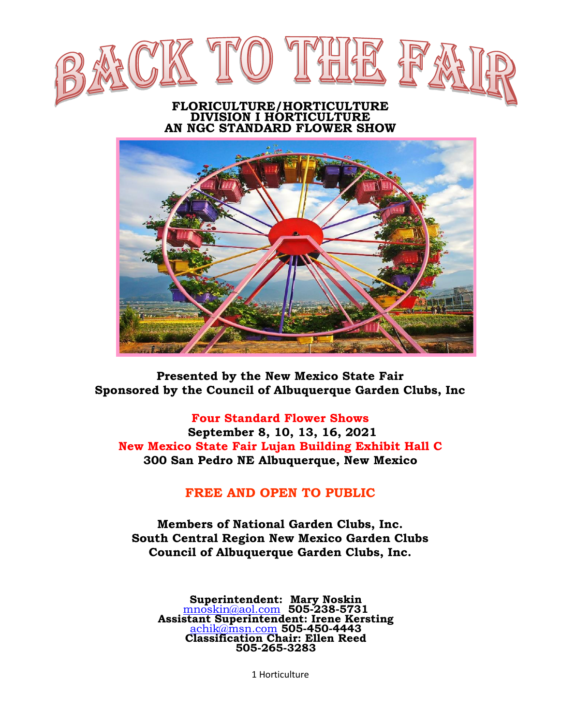

#### **FLORICULTURE/HORTICULTURE DIVISION I HORTICULTURE AN NGC STANDARD FLOWER SHOW**



**Presented by the New Mexico State Fair Sponsored by the Council of Albuquerque Garden Clubs, Inc**

#### **Four Standard Flower Shows**

**September 8, 10, 13, 16, 2021 New Mexico State Fair Lujan Building Exhibit Hall C 300 San Pedro NE Albuquerque, New Mexico**

#### **FREE AND OPEN TO PUBLIC**

**Members of National Garden Clubs, Inc. South Central Region New Mexico Garden Clubs Council of Albuquerque Garden Clubs, Inc.**

**Superintendent: Mary Noskin** [mnoskin@aol.com](mailto:mnoskin@aol.com) **505-238-5731 Assistant Superintendent: Irene Kersting** [achik@msn.com](mailto:achik@msn.com) **505-450-4443 Classification Chair: Ellen Reed 505-265-3283** 

1 Horticulture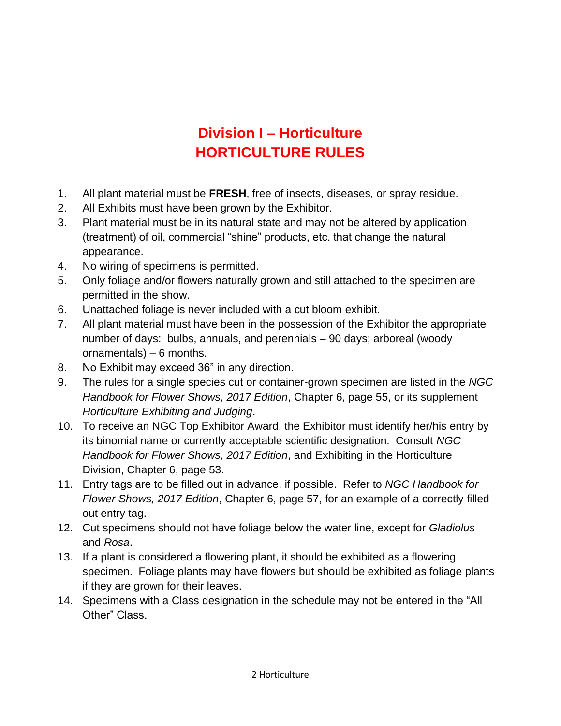# **Division I – Horticulture HORTICULTURE RULES**

- 1. All plant material must be **FRESH**, free of insects, diseases, or spray residue.
- 2. All Exhibits must have been grown by the Exhibitor.
- 3. Plant material must be in its natural state and may not be altered by application (treatment) of oil, commercial "shine" products, etc. that change the natural appearance.
- 4. No wiring of specimens is permitted.
- 5. Only foliage and/or flowers naturally grown and still attached to the specimen are permitted in the show.
- 6. Unattached foliage is never included with a cut bloom exhibit.
- 7. All plant material must have been in the possession of the Exhibitor the appropriate number of days: bulbs, annuals, and perennials – 90 days; arboreal (woody ornamentals) – 6 months.
- 8. No Exhibit may exceed 36" in any direction.
- 9. The rules for a single species cut or container-grown specimen are listed in the *NGC Handbook for Flower Shows, 2017 Edition*, Chapter 6, page 55, or its supplement *Horticulture Exhibiting and Judging*.
- 10. To receive an NGC Top Exhibitor Award, the Exhibitor must identify her/his entry by its binomial name or currently acceptable scientific designation. Consult *NGC Handbook for Flower Shows, 2017 Edition*, and Exhibiting in the Horticulture Division, Chapter 6, page 53.
- 11. Entry tags are to be filled out in advance, if possible. Refer to *NGC Handbook for Flower Shows, 2017 Edition*, Chapter 6, page 57, for an example of a correctly filled out entry tag.
- 12. Cut specimens should not have foliage below the water line, except for *Gladiolus*  and *Rosa*.
- 13. If a plant is considered a flowering plant, it should be exhibited as a flowering specimen. Foliage plants may have flowers but should be exhibited as foliage plants if they are grown for their leaves.
- 14. Specimens with a Class designation in the schedule may not be entered in the "All Other" Class.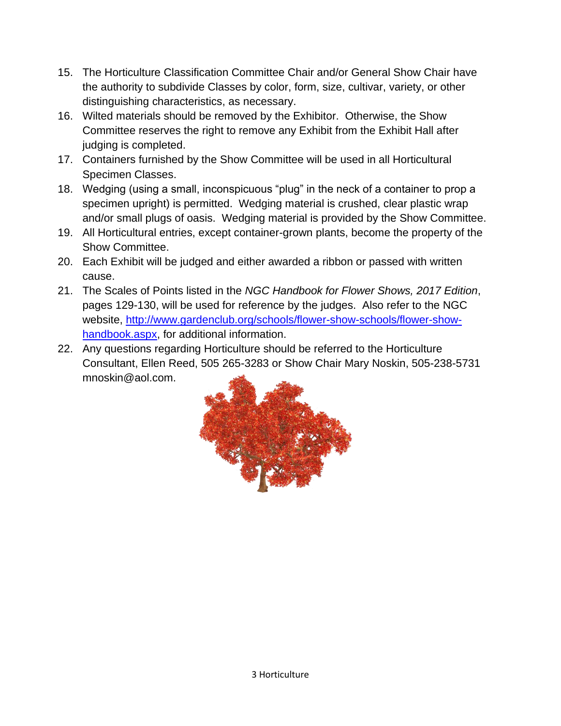- 15. The Horticulture Classification Committee Chair and/or General Show Chair have the authority to subdivide Classes by color, form, size, cultivar, variety, or other distinguishing characteristics, as necessary.
- 16. Wilted materials should be removed by the Exhibitor. Otherwise, the Show Committee reserves the right to remove any Exhibit from the Exhibit Hall after judging is completed.
- 17. Containers furnished by the Show Committee will be used in all Horticultural Specimen Classes.
- 18. Wedging (using a small, inconspicuous "plug" in the neck of a container to prop a specimen upright) is permitted. Wedging material is crushed, clear plastic wrap and/or small plugs of oasis. Wedging material is provided by the Show Committee.
- 19. All Horticultural entries, except container-grown plants, become the property of the Show Committee.
- 20. Each Exhibit will be judged and either awarded a ribbon or passed with written cause.
- 21. The Scales of Points listed in the *NGC Handbook for Flower Shows, 2017 Edition*, pages 129-130, will be used for reference by the judges. Also refer to the NGC website, [http://www.gardenclub.org/schools/flower-show-schools/flower-show](http://www.gardenclub.org/schools/flower-show-schools/flower-show-handbook.aspx)[handbook.aspx,](http://www.gardenclub.org/schools/flower-show-schools/flower-show-handbook.aspx) for additional information.
- 22. Any questions regarding Horticulture should be referred to the Horticulture Consultant, Ellen Reed, 505 265-3283 or Show Chair Mary Noskin, 505-238-5731 mnoskin@aol.com.

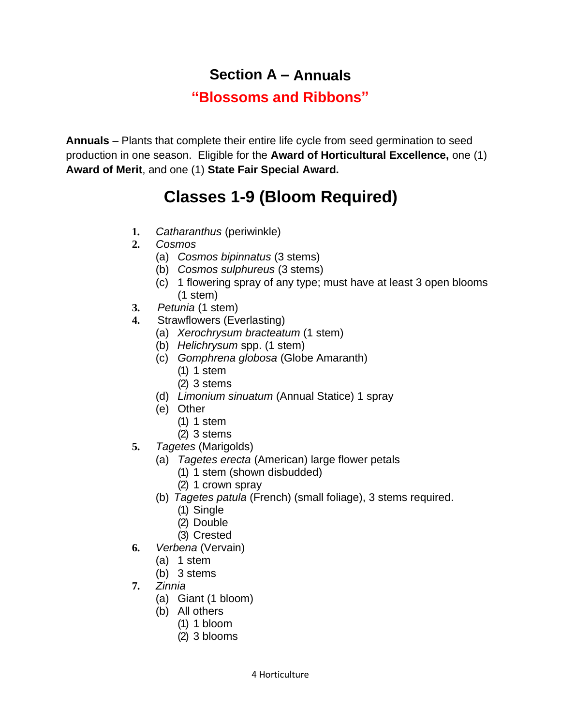# **Section A – Annuals**

# **"Blossoms and Ribbons"**

**Annuals** – Plants that complete their entire life cycle from seed germination to seed production in one season. Eligible for the **Award of Horticultural Excellence,** one (1) **Award of Merit**, and one (1) **State Fair Special Award.**

# **Classes 1-9 (Bloom Required)**

- **1.** *Catharanthus* (periwinkle)
- **2.** *Cosmos*
	- (a) *Cosmos bipinnatus* (3 stems)
	- (b) *Cosmos sulphureus* (3 stems)
	- (c) 1 flowering spray of any type; must have at least 3 open blooms (1 stem)
- **3.** *Petunia* (1 stem)
- **4.** Strawflowers (Everlasting)
	- (a) *Xerochrysum bracteatum* (1 stem)
	- (b) *Helichrysum* spp. (1 stem)
	- (c) *Gomphrena globosa* (Globe Amaranth)
		- (1) 1 stem
		- (2) 3 stems
	- (d) *Limonium sinuatum* (Annual Statice) 1 spray
	- (e) Other
		- (1) 1 stem
		- (2) 3 stems
- **5.** *Tagetes* (Marigolds)
	- (a) *Tagetes erecta* (American) large flower petals
		- (1) 1 stem (shown disbudded)
		- (2) 1 crown spray
	- (b) *Tagetes patula* (French) (small foliage), 3 stems required.
		- (1) Single
		- (2) Double
		- (3) Crested
- **6.** *Verbena* (Vervain)
	- (a) 1 stem
	- (b) 3 stems
- **7.** *Zinnia*
	- (a) Giant (1 bloom)
	- (b) All others
		- (1) 1 bloom
		- (2) 3 blooms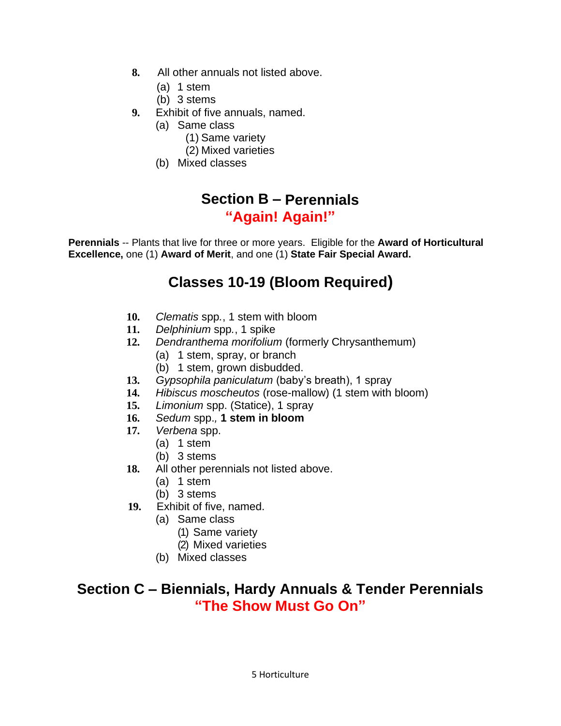- **8.** All other annuals not listed above.
	- (a) 1 stem
	- (b) 3 stems
- **9.** Exhibit of five annuals, named.
	- (a) Same class
		- (1) Same variety
		- (2) Mixed varieties
	- (b) Mixed classes

#### **Section B – Perennials "Again! Again!"**

**Perennials** -- Plants that live for three or more years. Eligible for the **Award of Horticultural Excellence,** one (1) **Award of Merit**, and one (1) **State Fair Special Award.**

# **Classes 10-19 (Bloom Required)**

- **10.** *Clematis* spp*.*, 1 stem with bloom
- **11.** *Delphinium* spp*.*, 1 spike
- **12.** *Dendranthema morifolium* (formerly Chrysanthemum)
	- (a) 1 stem, spray, or branch
	- (b) 1 stem, grown disbudded.
- **13.** *Gypsophila paniculatum* (baby's breath), 1 spray
- **14.** *Hibiscus moscheutos* (rose-mallow) (1 stem with bloom)
- **15.** *Limonium* spp. (Statice), 1 spray
- **16.** *Sedum* spp.*,* **1 stem in bloom**
- **17.** *Verbena* spp.
	- (a) 1 stem
	- (b) 3 stems
- **18.** All other perennials not listed above.
	- (a) 1 stem
	- (b) 3 stems
- **19.** Exhibit of five, named.
	- (a) Same class
		- (1) Same variety
		- (2) Mixed varieties
	- (b) Mixed classes

#### **Section C – Biennials, Hardy Annuals & Tender Perennials "The Show Must Go On"**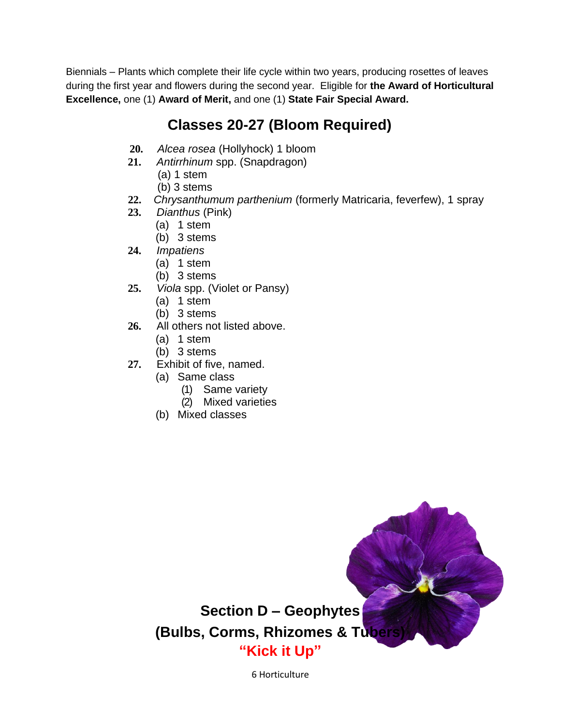Biennials – Plants which complete their life cycle within two years, producing rosettes of leaves during the first year and flowers during the second year. Eligible for **the Award of Horticultural Excellence,** one (1) **Award of Merit,** and one (1) **State Fair Special Award.**

# **Classes 20-27 (Bloom Required)**

- **20.** *Alcea rosea* (Hollyhock) 1 bloom
- **21.** *Antirrhinum* spp. (Snapdragon)
	- (a) 1 stem
	- (b) 3 stems
- **22.** *Chrysanthumum parthenium* (formerly Matricaria, feverfew), 1 spray
- **23.** *Dianthus* (Pink)
	- (a) 1 stem
	- (b) 3 stems
- **24.** *Impatiens*
	- (a) 1 stem
	- (b) 3 stems
- **25.** *Viola* spp. (Violet or Pansy)
	- (a) 1 stem
	- (b) 3 stems
- **26.** All others not listed above.
	- (a) 1 stem
	- (b) 3 stems
- **27.** Exhibit of five, named.
	- (a) Same class
		- (1) Same variety
		- (2) Mixed varieties
	- (b) Mixed classes



6 Horticulture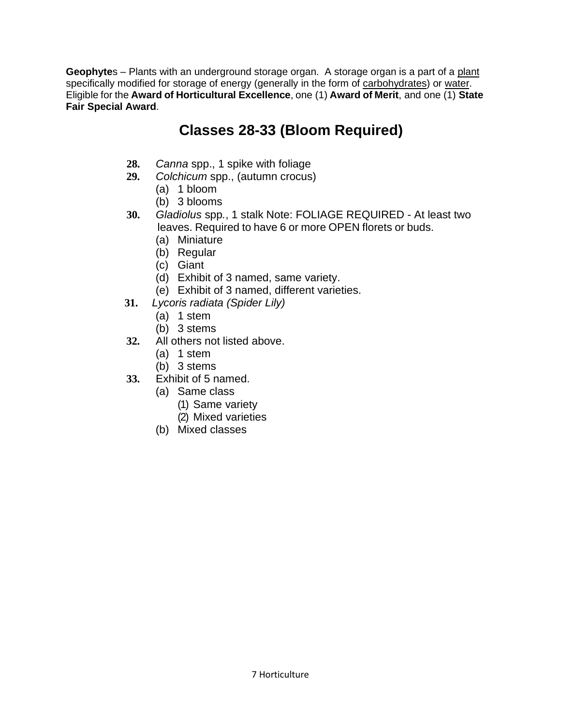**Geophyte**s – Plants with an underground storage organ. A storage organ is a part of a [plant](https://en.wikipedia.org/wiki/Plant) specifically modified for storage of energy (generally in the form of [carbohydrates\)](https://en.wikipedia.org/wiki/Carbohydrate) or [water.](https://en.wikipedia.org/wiki/Water) Eligible for the **Award of Horticultural Excellence**, one (1) **Award of Merit**, and one (1) **State Fair Special Award**.

# **Classes 28-33 (Bloom Required)**

- **28.** *Canna* spp., 1 spike with foliage
- **29.** *Colchicum* spp., (autumn crocus)
	- (a) 1 bloom
	- (b) 3 blooms
- **30.** *Gladiolus* spp*.*, 1 stalk Note: FOLIAGE REQUIRED At least two leaves. Required to have 6 or more OPEN florets or buds.
	- (a) Miniature
	- (b) Regular
	- (c) Giant
	- (d) Exhibit of 3 named, same variety.
	- (e) Exhibit of 3 named, different varieties.
- **31.** *Lycoris radiata (Spider Lily)* 
	- (a) 1 stem
	- (b) 3 stems
- **32.** All others not listed above.
	- (a) 1 stem
	- (b) 3 stems
- **33.** Exhibit of 5 named.
	- (a) Same class
		- (1) Same variety
		- (2) Mixed varieties
	- (b) Mixed classes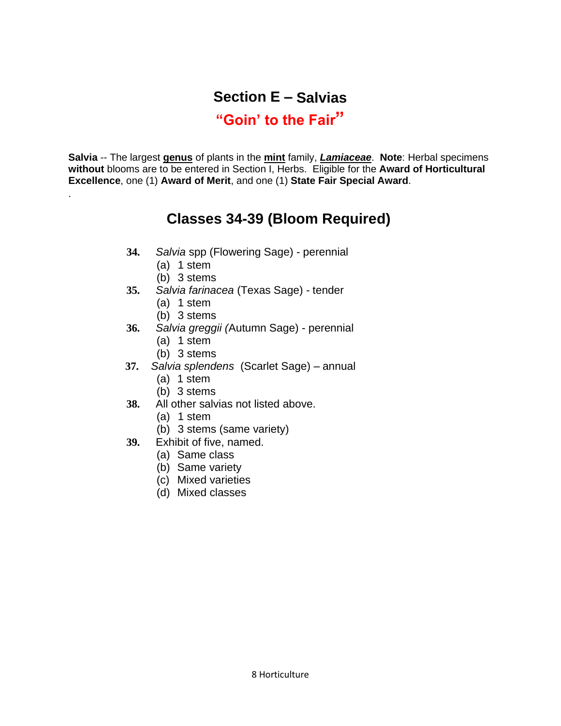# **Section E – Salvias**

#### **"Goin' to the Fair"**

**Salvia** -- The largest **[genus](https://en.wikipedia.org/wiki/Genus)** of plants in the **[mint](https://en.wikipedia.org/wiki/Mentha)** family, *[Lamiaceae](https://en.wikipedia.org/wiki/Lamiaceae)*. **Note**: Herbal specimens **without** blooms are to be entered in Section I, Herbs. Eligible for the **Award of Horticultural Excellence**, one (1) **Award of Merit**, and one (1) **State Fair Special Award**.

### **Classes 34-39 (Bloom Required)**

- **34.** *Salvia* spp (Flowering Sage) perennial
	- (a) 1 stem

.

- (b) 3 stems
- **35.** *Salvia farinacea* (Texas Sage) tender
	- (a) 1 stem
	- (b) 3 stems
- **36.** *Salvia greggii (*Autumn Sage) perennial
	- (a) 1 stem
	- (b) 3 stems
- **37.** *Salvia splendens* (Scarlet Sage) annual
	- (a) 1 stem
	- (b) 3 stems
- **38.** All other salvias not listed above.
	- (a) 1 stem
	- (b) 3 stems (same variety)
- **39.** Exhibit of five, named.
	- (a) Same class
	- (b) Same variety
	- (c) Mixed varieties
	- (d) Mixed classes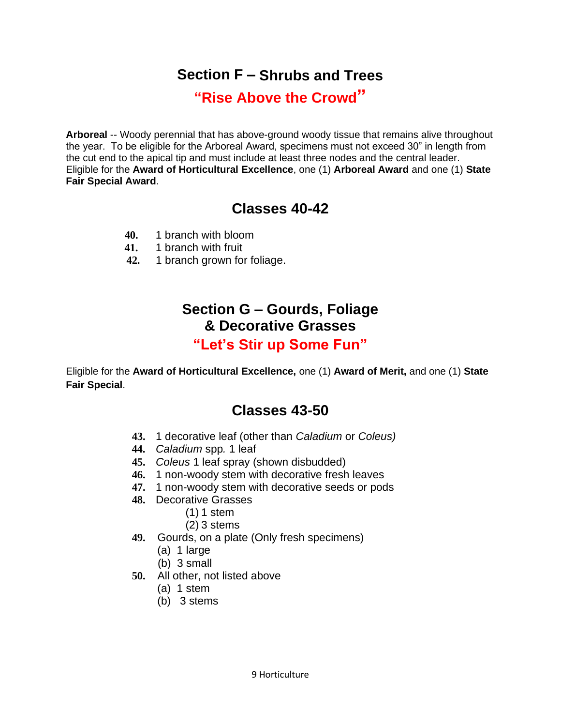### **Section F – Shrubs and Trees**

**"Rise Above the Crowd"**

**Arboreal** -- Woody perennial that has above-ground woody tissue that remains alive throughout the year. To be eligible for the Arboreal Award, specimens must not exceed 30" in length from the cut end to the apical tip and must include at least three nodes and the central leader. Eligible for the **Award of Horticultural Excellence**, one (1) **Arboreal Award** and one (1) **State Fair Special Award**.

#### **Classes 40-42**

- **40.** 1 branch with bloom
- **41.** 1 branch with fruit
- **42.** 1 branch grown for foliage.

# **Section G – Gourds, Foliage & Decorative Grasses**

#### **"Let's Stir up Some Fun"**

Eligible for the **Award of Horticultural Excellence,** one (1) **Award of Merit,** and one (1) **State Fair Special**.

#### **Classes 43-50**

- **43.** 1 decorative leaf (other than *Caladium* or *Coleus)*
- **44.** *Caladium* spp*.* 1 leaf
- **45.** *Coleus* 1 leaf spray (shown disbudded)
- **46.** 1 non-woody stem with decorative fresh leaves
- **47.** 1 non-woody stem with decorative seeds or pods
- **48.** Decorative Grasses
	- (1) 1 stem
	- (2) 3 stems
- **49.** Gourds, on a plate (Only fresh specimens)
	- (a) 1 large
	- (b) 3 small
- **50.** All other, not listed above
	- (a) 1 stem
	- (b) 3 stems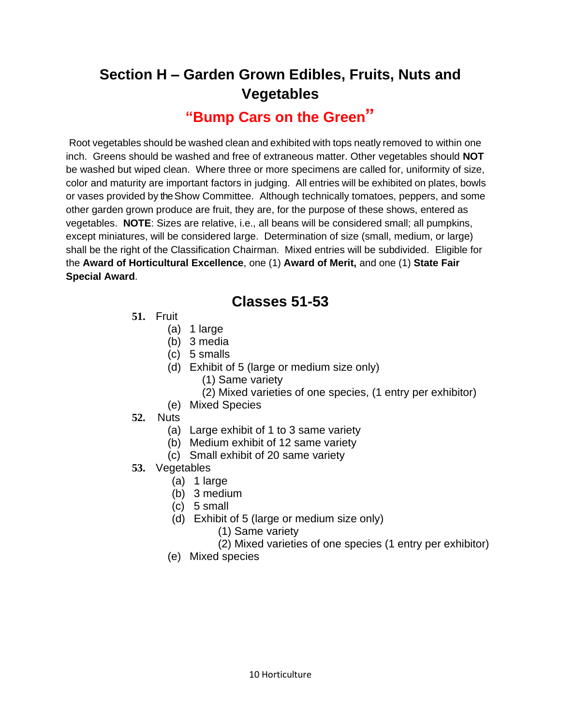# **Section H – Garden Grown Edibles, Fruits, Nuts and Vegetables**

#### **"Bump Cars on the Green"**

Root vegetables should be washed clean and exhibited with tops neatly removed to within one inch. Greens should be washed and free of extraneous matter. Other vegetables should **NOT**  be washed but wiped clean. Where three or more specimens are called for, uniformity of size, color and maturity are important factors in judging. All entries will be exhibited on plates, bowls or vases provided by the Show Committee. Although technically tomatoes, peppers, and some other garden grown produce are fruit, they are, for the purpose of these shows, entered as vegetables. **NOTE**: Sizes are relative, i.e., all beans will be considered small; all pumpkins, except miniatures, will be considered large. Determination of size (small, medium, or large) shall be the right of the Classification Chairman. Mixed entries will be subdivided. Eligible for the **Award of Horticultural Excellence**, one (1) **Award of Merit,** and one (1) **State Fair Special Award**.

#### **Classes 51-53**

- **51.** Fruit
	- (a) 1 large
	- (b) 3 media
	- (c) 5 smalls
	- (d) Exhibit of 5 (large or medium size only)
		- (1) Same variety
		- (2) Mixed varieties of one species, (1 entry per exhibitor)
	- (e) Mixed Species
- **52.** Nuts
	- (a) Large exhibit of 1 to 3 same variety
	- (b) Medium exhibit of 12 same variety
	- (c) Small exhibit of 20 same variety
- **53.** Vegetables
	- (a) 1 large
	- (b) 3 medium
	- (c) 5 small
	- (d) Exhibit of 5 (large or medium size only)
		- (1) Same variety
		- (2) Mixed varieties of one species (1 entry per exhibitor)
	- (e) Mixed species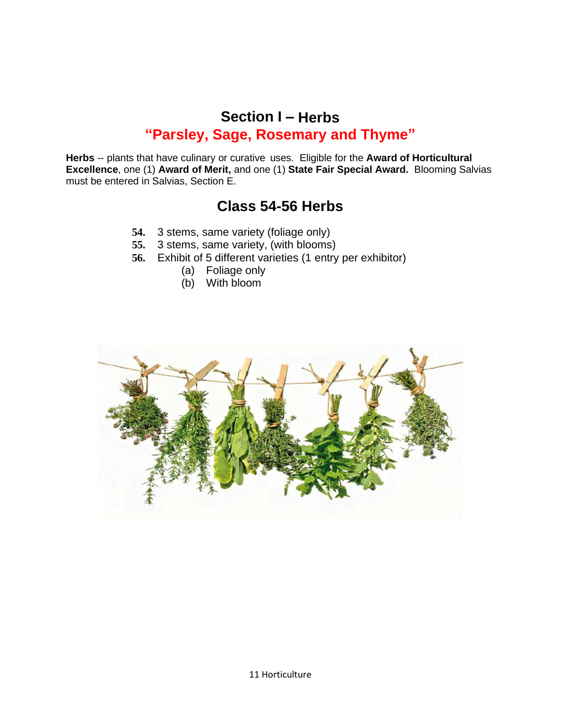#### **Section I – Herbs "Parsley, Sage, Rosemary and Thyme"**

**Herbs** -- plants that have culinary or curative uses. Eligible for the **Award of Horticultural Excellence**, one (1) **Award of Merit,** and one (1) **State Fair Special Award.** Blooming Salvias must be entered in Salvias, Section E.

#### **Class 54-56 Herbs**

- **54.** 3 stems, same variety (foliage only)
- **55.** 3 stems, same variety, (with blooms)
- **56.** Exhibit of 5 different varieties (1 entry per exhibitor)
	- (a) Foliage only
	- (b) With bloom

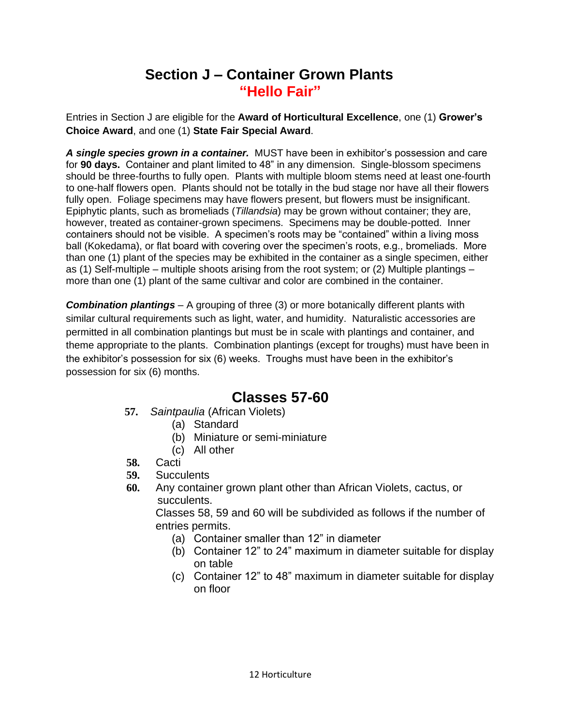### **Section J – Container Grown Plants "Hello Fair"**

Entries in Section J are eligible for the **Award of Horticultural Excellence**, one (1) **Grower's Choice Award**, and one (1) **State Fair Special Award**.

*A single species grown in a container.* MUST have been in exhibitor's possession and care for **90 days.** Container and plant limited to 48" in any dimension. Single-blossom specimens should be three-fourths to fully open. Plants with multiple bloom stems need at least one-fourth to one-half flowers open. Plants should not be totally in the bud stage nor have all their flowers fully open. Foliage specimens may have flowers present, but flowers must be insignificant. Epiphytic plants, such as bromeliads (*Tillandsia*) may be grown without container; they are, however, treated as container-grown specimens. Specimens may be double-potted. Inner containers should not be visible. A specimen's roots may be "contained" within a living moss ball (Kokedama), or flat board with covering over the specimen's roots, e.g., bromeliads. More than one (1) plant of the species may be exhibited in the container as a single specimen, either as (1) Self-multiple – multiple shoots arising from the root system; or (2) Multiple plantings – more than one (1) plant of the same cultivar and color are combined in the container.

*Combination plantings* – A grouping of three (3) or more botanically different plants with similar cultural requirements such as light, water, and humidity. Naturalistic accessories are permitted in all combination plantings but must be in scale with plantings and container, and theme appropriate to the plants. Combination plantings (except for troughs) must have been in the exhibitor's possession for six (6) weeks. Troughs must have been in the exhibitor's possession for six (6) months.

#### **Classes 57-60**

- **57.** *Saintpaulia* (African Violets)
	- (a) Standard
	- (b) Miniature or semi-miniature
	- (c) All other
- **58.** Cacti
- **59.** Succulents
- **60.** Any container grown plant other than African Violets, cactus, or succulents.

Classes 58, 59 and 60 will be subdivided as follows if the number of entries permits.

- (a) Container smaller than 12" in diameter
- (b) Container 12" to 24" maximum in diameter suitable for display on table
- (c) Container 12" to 48" maximum in diameter suitable for display on floor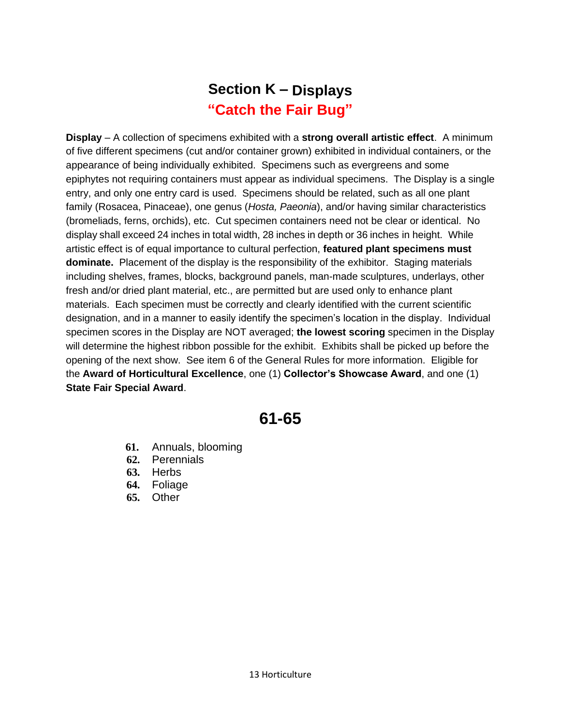# **Section K – Displays "Catch the Fair Bug"**

**Display** – A collection of specimens exhibited with a **strong overall artistic effect**. A minimum of five different specimens (cut and/or container grown) exhibited in individual containers, or the appearance of being individually exhibited. Specimens such as evergreens and some epiphytes not requiring containers must appear as individual specimens. The Display is a single entry, and only one entry card is used. Specimens should be related, such as all one plant family (Rosacea, Pinaceae), one genus (*Hosta, Paeonia*), and/or having similar characteristics (bromeliads, ferns, orchids), etc. Cut specimen containers need not be clear or identical. No display shall exceed 24 inches in total width, 28 inches in depth or 36 inches in height. While artistic effect is of equal importance to cultural perfection, **featured plant specimens must dominate.** Placement of the display is the responsibility of the exhibitor. Staging materials including shelves, frames, blocks, background panels, man-made sculptures, underlays, other fresh and/or dried plant material, etc., are permitted but are used only to enhance plant materials. Each specimen must be correctly and clearly identified with the current scientific designation, and in a manner to easily identify the specimen's location in the display. Individual specimen scores in the Display are NOT averaged; **the lowest scoring** specimen in the Display will determine the highest ribbon possible for the exhibit. Exhibits shall be picked up before the opening of the next show. See item 6 of the General Rules for more information. Eligible for the **Award of Horticultural Excellence**, one (1) **Collector's Showcase Award**, and one (1) **State Fair Special Award**.

# **61-65**

- **61.** Annuals, blooming
- **62.** Perennials
- **63.** Herbs
- **64.** Foliage
- **65.** Other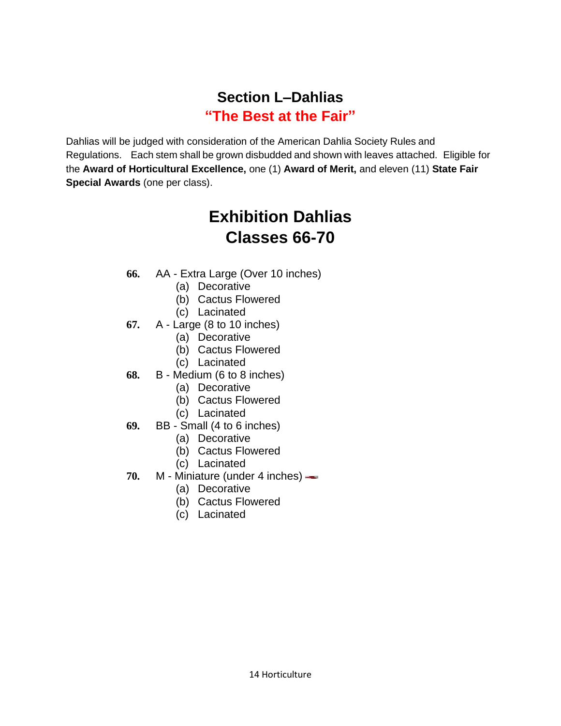# **Section L–Dahlias "The Best at the Fair"**

Dahlias will be judged with consideration of the American Dahlia Society Rules and Regulations. Each stem shall be grown disbudded and shown with leaves attached. Eligible for the **Award of Horticultural Excellence,** one (1) **Award of Merit,** and eleven (11) **State Fair Special Awards** (one per class).

# **Exhibition Dahlias Classes 66-70**

- **66.** AA Extra Large (Over 10 inches)
	- (a) Decorative
	- (b) Cactus Flowered
	- (c) Lacinated
- **67.** A Large (8 to 10 inches)
	- (a) Decorative
	- (b) Cactus Flowered
	- (c) Lacinated
- **68.** B Medium (6 to 8 inches)
	- (a) Decorative
	- (b) Cactus Flowered
	- (c) Lacinated
- **69.** BB Small (4 to 6 inches)
	- (a) Decorative
	- (b) Cactus Flowered
	- (c) Lacinated
- **70.** M Miniature (under 4 inches)
	- (a) Decorative
	- (b) Cactus Flowered
	- (c) Lacinated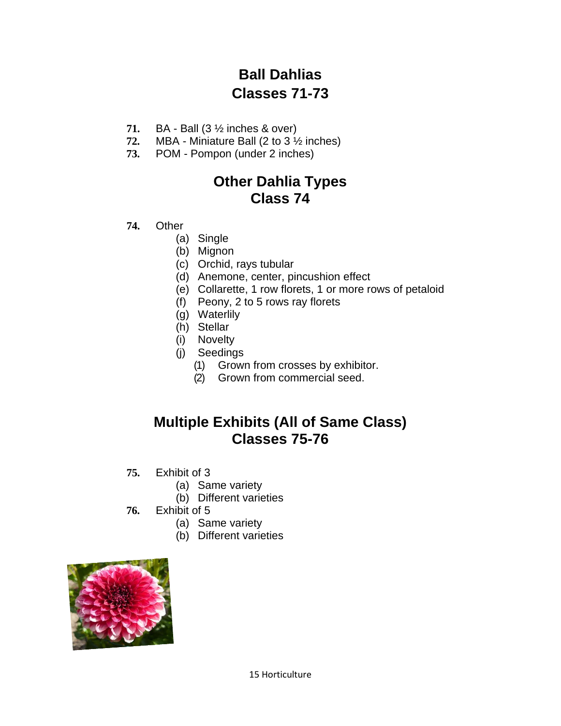# **Ball Dahlias Classes 71-73**

- **71.** BA Ball (3 ½ inches & over)
- **72.** MBA Miniature Ball (2 to 3 ½ inches)
- **73.** POM Pompon (under 2 inches)

#### **Other Dahlia Types Class 74**

- **74.** Other
	- (a) Single
	- (b) Mignon
	- (c) Orchid, rays tubular
	- (d) Anemone, center, pincushion effect
	- (e) Collarette, 1 row florets, 1 or more rows of petaloid
	- (f) Peony, 2 to 5 rows ray florets
	- (g) Waterlily
	- (h) Stellar
	- (i) Novelty
	- (j) Seedings
		- (1) Grown from crosses by exhibitor.
		- (2) Grown from commercial seed.

#### **Multiple Exhibits (All of Same Class) Classes 75-76**

- **75.** Exhibit of 3
	- (a) Same variety
	- (b) Different varieties
- **76.** Exhibit of 5
	- (a) Same variety
	- (b) Different varieties

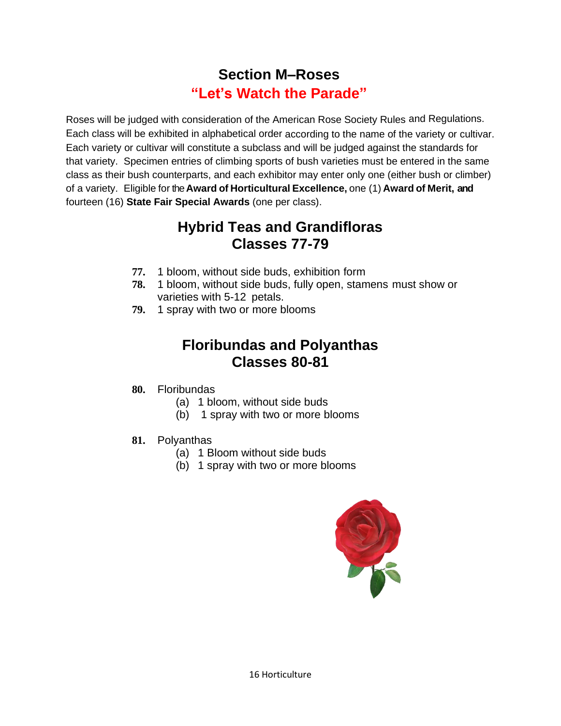# **Section M–Roses "Let's Watch the Parade"**

Roses will be judged with consideration of the American Rose Society Rules and Regulations. Each class will be exhibited in alphabetical order according to the name of the variety or cultivar. Each variety or cultivar will constitute a subclass and will be judged against the standards for that variety. Specimen entries of climbing sports of bush varieties must be entered in the same class as their bush counterparts, and each exhibitor may enter only one (either bush or climber) of a variety. Eligible for the **Award of Horticultural Excellence,** one (1) **Award of Merit, and** fourteen (16) **State Fair Special Awards** (one per class).

#### **Hybrid Teas and Grandifloras Classes 77-79**

- **77.** 1 bloom, without side buds, exhibition form
- **78.** 1 bloom, without side buds, fully open, stamens must show or varieties with 5-12 petals.
- **79.** 1 spray with two or more blooms

# **Floribundas and Polyanthas Classes 80-81**

- **80.** Floribundas
	- (a) 1 bloom, without side buds
	- (b) 1 spray with two or more blooms
- **81.** Polyanthas
	- (a) 1 Bloom without side buds
	- (b) 1 spray with two or more blooms

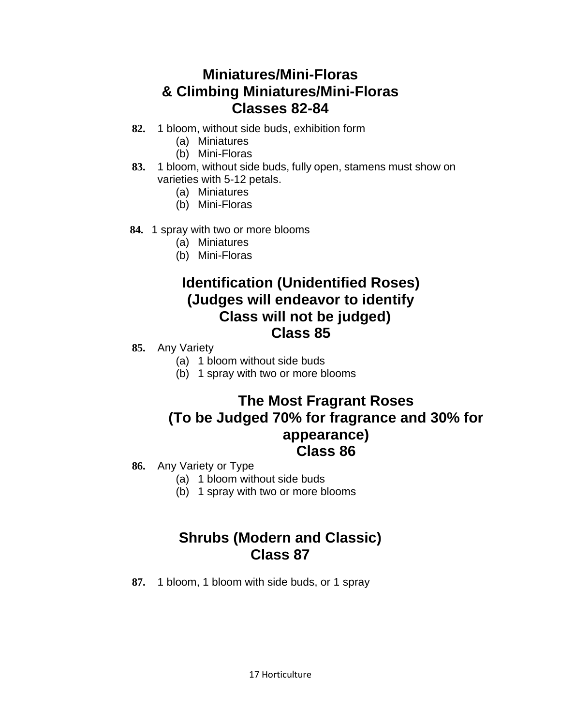#### **Miniatures/Mini-Floras & Climbing Miniatures/Mini-Floras Classes 82-84**

- **82.** 1 bloom, without side buds, exhibition form
	- (a) Miniatures
	- (b) Mini-Floras
- **83.** 1 bloom, without side buds, fully open, stamens must show on varieties with 5-12 petals.
	- (a) Miniatures
	- (b) Mini-Floras
- **84.** 1 spray with two or more blooms
	- (a) Miniatures
	- (b) Mini-Floras

#### **Identification (Unidentified Roses) (Judges will endeavor to identify Class will not be judged) Class 85**

- **85.** Any Variety
	- (a) 1 bloom without side buds
	- (b) 1 spray with two or more blooms

#### **The Most Fragrant Roses (To be Judged 70% for fragrance and 30% for appearance) Class 86**

- **86.** Any Variety or Type
	- (a) 1 bloom without side buds
	- (b) 1 spray with two or more blooms

# **Shrubs (Modern and Classic) Class 87**

**87.** 1 bloom, 1 bloom with side buds, or 1 spray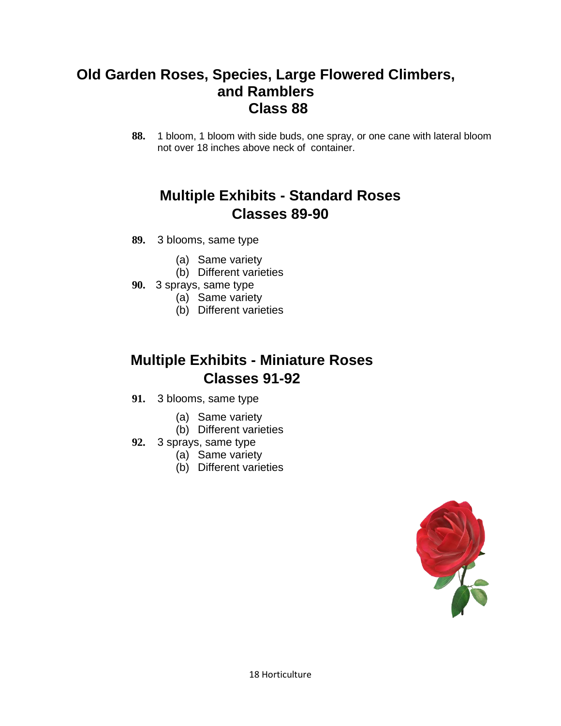#### **Old Garden Roses, Species, Large Flowered Climbers, and Ramblers Class 88**

**88.** 1 bloom, 1 bloom with side buds, one spray, or one cane with lateral bloom not over 18 inches above neck of container.

# **Multiple Exhibits - Standard Roses Classes 89-90**

- **89.** 3 blooms, same type
	- (a) Same variety
	- (b) Different varieties
- **90.** 3 sprays, same type
	- (a) Same variety
	- (b) Different varieties

# **Multiple Exhibits - Miniature Roses Classes 91-92**

- **91.** 3 blooms, same type
	- (a) Same variety
	- (b) Different varieties
- **92.** 3 sprays, same type
	- (a) Same variety
	- (b) Different varieties

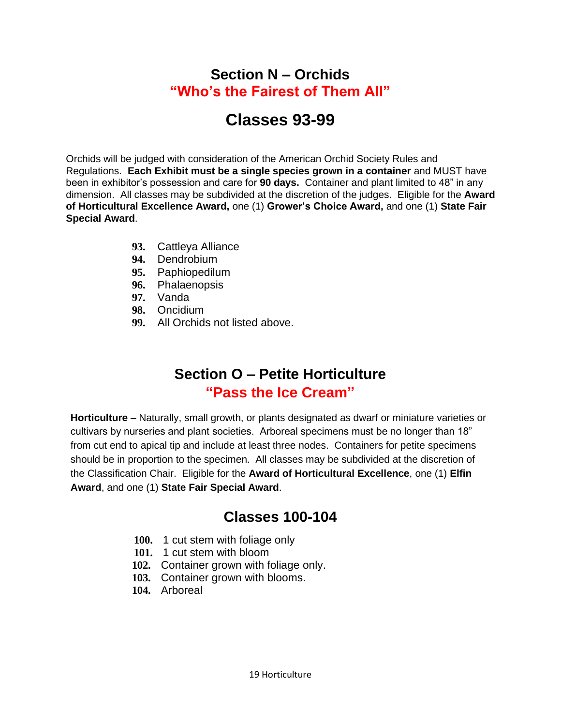#### **Section N – Orchids "Who's the Fairest of Them All"**

# **Classes 93-99**

Orchids will be judged with consideration of the American Orchid Society Rules and Regulations. **Each Exhibit must be a single species grown in a container** and MUST have been in exhibitor's possession and care for **90 days.** Container and plant limited to 48" in any dimension. All classes may be subdivided at the discretion of the judges. Eligible for the **Award of Horticultural Excellence Award,** one (1) **Grower's Choice Award,** and one (1) **State Fair Special Award**.

- **93.** Cattleya Alliance
- **94.** Dendrobium
- **95.** Paphiopedilum
- **96.** Phalaenopsis
- **97.** Vanda
- **98.** Oncidium
- **99.** All Orchids not listed above.

### **Section O – Petite Horticulture "Pass the Ice Cream"**

**Horticulture** – Naturally, small growth, or plants designated as dwarf or miniature varieties or cultivars by nurseries and plant societies. Arboreal specimens must be no longer than 18" from cut end to apical tip and include at least three nodes. Containers for petite specimens should be in proportion to the specimen. All classes may be subdivided at the discretion of the Classification Chair. Eligible for the **Award of Horticultural Excellence**, one (1) **Elfin Award**, and one (1) **State Fair Special Award**.

#### **Classes 100-104**

- **100.** 1 cut stem with foliage only
- **101.** 1 cut stem with bloom
- **102.** Container grown with foliage only.
- **103.** Container grown with blooms.
- **104.** Arboreal